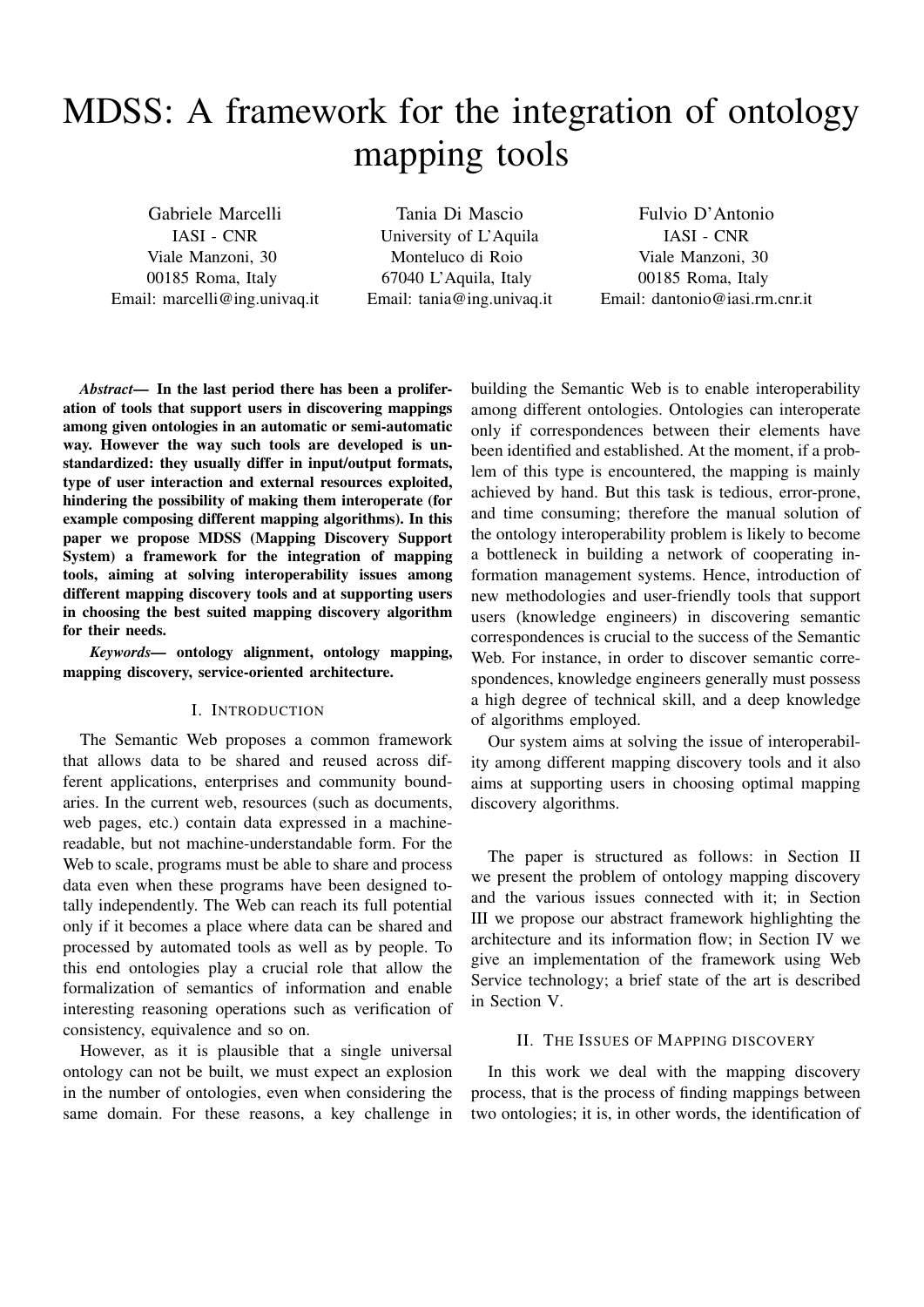# MDSS: A framework for the integration of ontology mapping tools

Gabriele Marcelli IASI - CNR Viale Manzoni, 30 00185 Roma, Italy Email: marcelli@ing.univaq.it

Tania Di Mascio University of L'Aquila Monteluco di Roio 67040 L'Aquila, Italy Email: tania@ing.univaq.it

Fulvio D'Antonio IASI - CNR Viale Manzoni, 30 00185 Roma, Italy Email: dantonio@iasi.rm.cnr.it

*Abstract*— In the last period there has been a proliferation of tools that support users in discovering mappings among given ontologies in an automatic or semi-automatic way. However the way such tools are developed is unstandardized: they usually differ in input/output formats, type of user interaction and external resources exploited, hindering the possibility of making them interoperate (for example composing different mapping algorithms). In this paper we propose MDSS (Mapping Discovery Support System) a framework for the integration of mapping tools, aiming at solving interoperability issues among different mapping discovery tools and at supporting users in choosing the best suited mapping discovery algorithm for their needs.

*Keywords—* ontology alignment, ontology mapping, mapping discovery, service-oriented architecture.

# I. INTRODUCTION

The Semantic Web proposes a common framework that allows data to be shared and reused across different applications, enterprises and community boundaries. In the current web, resources (such as documents, web pages, etc.) contain data expressed in a machinereadable, but not machine-understandable form. For the Web to scale, programs must be able to share and process data even when these programs have been designed totally independently. The Web can reach its full potential only if it becomes a place where data can be shared and processed by automated tools as well as by people. To this end ontologies play a crucial role that allow the formalization of semantics of information and enable interesting reasoning operations such as verification of consistency, equivalence and so on.

However, as it is plausible that a single universal ontology can not be built, we must expect an explosion in the number of ontologies, even when considering the same domain. For these reasons, a key challenge in building the Semantic Web is to enable interoperability among different ontologies. Ontologies can interoperate only if correspondences between their elements have been identified and established. At the moment, if a problem of this type is encountered, the mapping is mainly achieved by hand. But this task is tedious, error-prone, and time consuming; therefore the manual solution of the ontology interoperability problem is likely to become a bottleneck in building a network of cooperating information management systems. Hence, introduction of new methodologies and user-friendly tools that support users (knowledge engineers) in discovering semantic correspondences is crucial to the success of the Semantic Web. For instance, in order to discover semantic correspondences, knowledge engineers generally must possess a high degree of technical skill, and a deep knowledge of algorithms employed.

Our system aims at solving the issue of interoperability among different mapping discovery tools and it also aims at supporting users in choosing optimal mapping discovery algorithms.

The paper is structured as follows: in Section II we present the problem of ontology mapping discovery and the various issues connected with it; in Section III we propose our abstract framework highlighting the architecture and its information flow; in Section IV we give an implementation of the framework using Web Service technology; a brief state of the art is described in Section V.

#### II. THE ISSUES OF MAPPING DISCOVERY

In this work we deal with the mapping discovery process, that is the process of finding mappings between two ontologies; it is, in other words, the identification of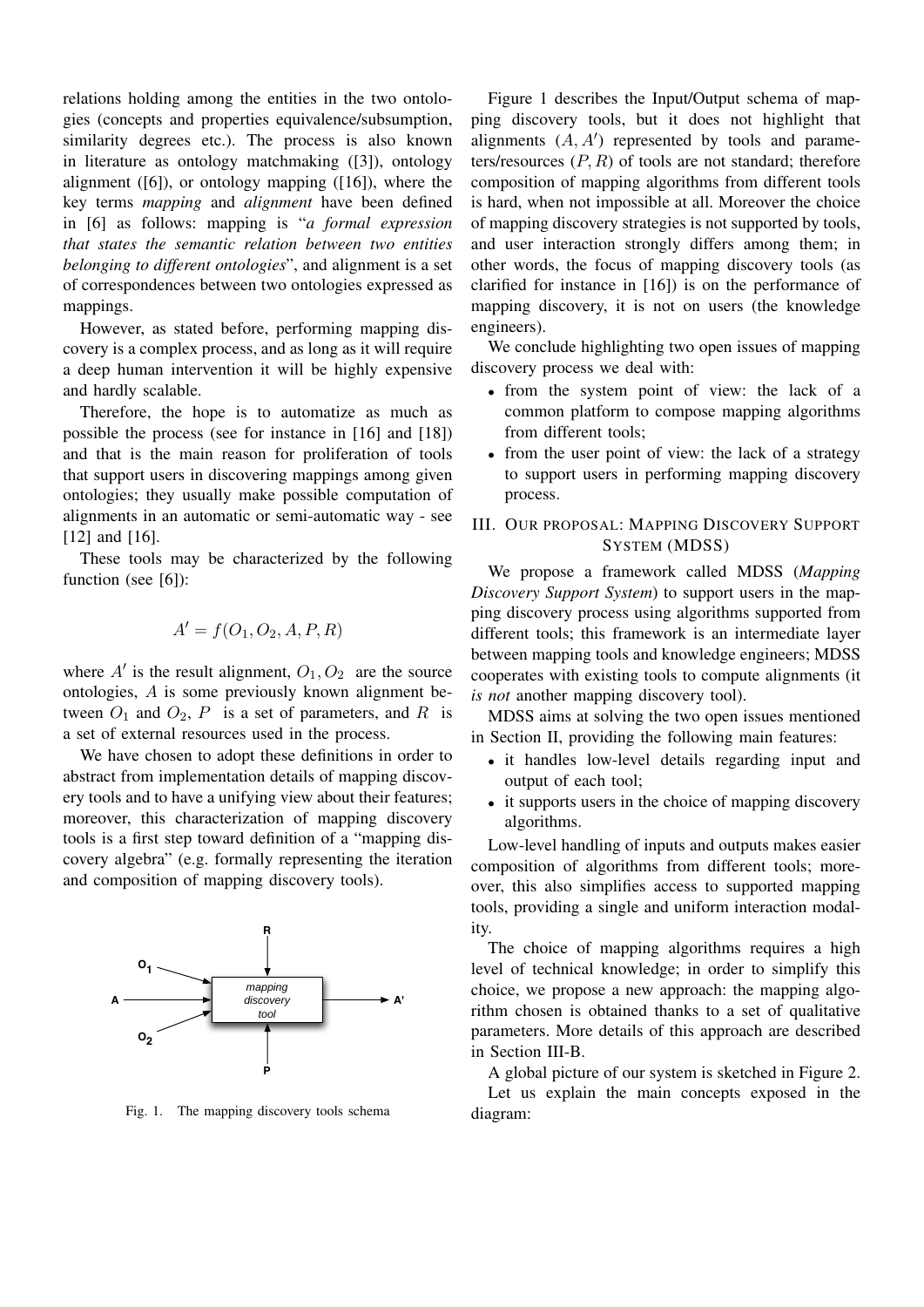relations holding among the entities in the two ontologies (concepts and properties equivalence/subsumption, similarity degrees etc.). The process is also known in literature as ontology matchmaking ([3]), ontology alignment  $([6])$ , or ontology mapping  $([16])$ , where the key terms *mapping* and *alignment* have been defined in [6] as follows: mapping is "*a formal expression that states the semantic relation between two entities belonging to different ontologies*", and alignment is a set of correspondences between two ontologies expressed as mappings.

However, as stated before, performing mapping discovery is a complex process, and as long as it will require a deep human intervention it will be highly expensive and hardly scalable.

Therefore, the hope is to automatize as much as possible the process (see for instance in [16] and [18]) and that is the main reason for proliferation of tools that support users in discovering mappings among given ontologies; they usually make possible computation of alignments in an automatic or semi-automatic way - see [12] and [16].

These tools may be characterized by the following function (see [6]):

$$
A' = f(O_1, O_2, A, P, R)
$$

where  $A'$  is the result alignment,  $O_1, O_2$  are the source ontologies, A is some previously known alignment between  $O_1$  and  $O_2$ , P is a set of parameters, and R is a set of external resources used in the process.

We have chosen to adopt these definitions in order to abstract from implementation details of mapping discovery tools and to have a unifying view about their features; moreover, this characterization of mapping discovery tools is a first step toward definition of a "mapping discovery algebra" (e.g. formally representing the iteration and composition of mapping discovery tools).



Fig. 1. The mapping discovery tools schema

Figure 1 describes the Input/Output schema of mapping discovery tools, but it does not highlight that alignments  $(A, A')$  represented by tools and parameters/resources  $(P, R)$  of tools are not standard; therefore composition of mapping algorithms from different tools is hard, when not impossible at all. Moreover the choice of mapping discovery strategies is not supported by tools, and user interaction strongly differs among them; in other words, the focus of mapping discovery tools (as clarified for instance in [16]) is on the performance of mapping discovery, it is not on users (the knowledge engineers).

We conclude highlighting two open issues of mapping discovery process we deal with:

- from the system point of view: the lack of a common platform to compose mapping algorithms from different tools;
- from the user point of view: the lack of a strategy to support users in performing mapping discovery process.

# III. OUR PROPOSAL: MAPPING DISCOVERY SUPPORT SYSTEM (MDSS)

We propose a framework called MDSS (*Mapping Discovery Support System*) to support users in the mapping discovery process using algorithms supported from different tools; this framework is an intermediate layer between mapping tools and knowledge engineers; MDSS cooperates with existing tools to compute alignments (it *is not* another mapping discovery tool).

MDSS aims at solving the two open issues mentioned in Section II, providing the following main features:

- it handles low-level details regarding input and output of each tool;
- it supports users in the choice of mapping discovery algorithms.

Low-level handling of inputs and outputs makes easier composition of algorithms from different tools; moreover, this also simplifies access to supported mapping tools, providing a single and uniform interaction modality.

The choice of mapping algorithms requires a high level of technical knowledge; in order to simplify this choice, we propose a new approach: the mapping algorithm chosen is obtained thanks to a set of qualitative parameters. More details of this approach are described in Section III-B.

A global picture of our system is sketched in Figure 2.

Let us explain the main concepts exposed in the diagram: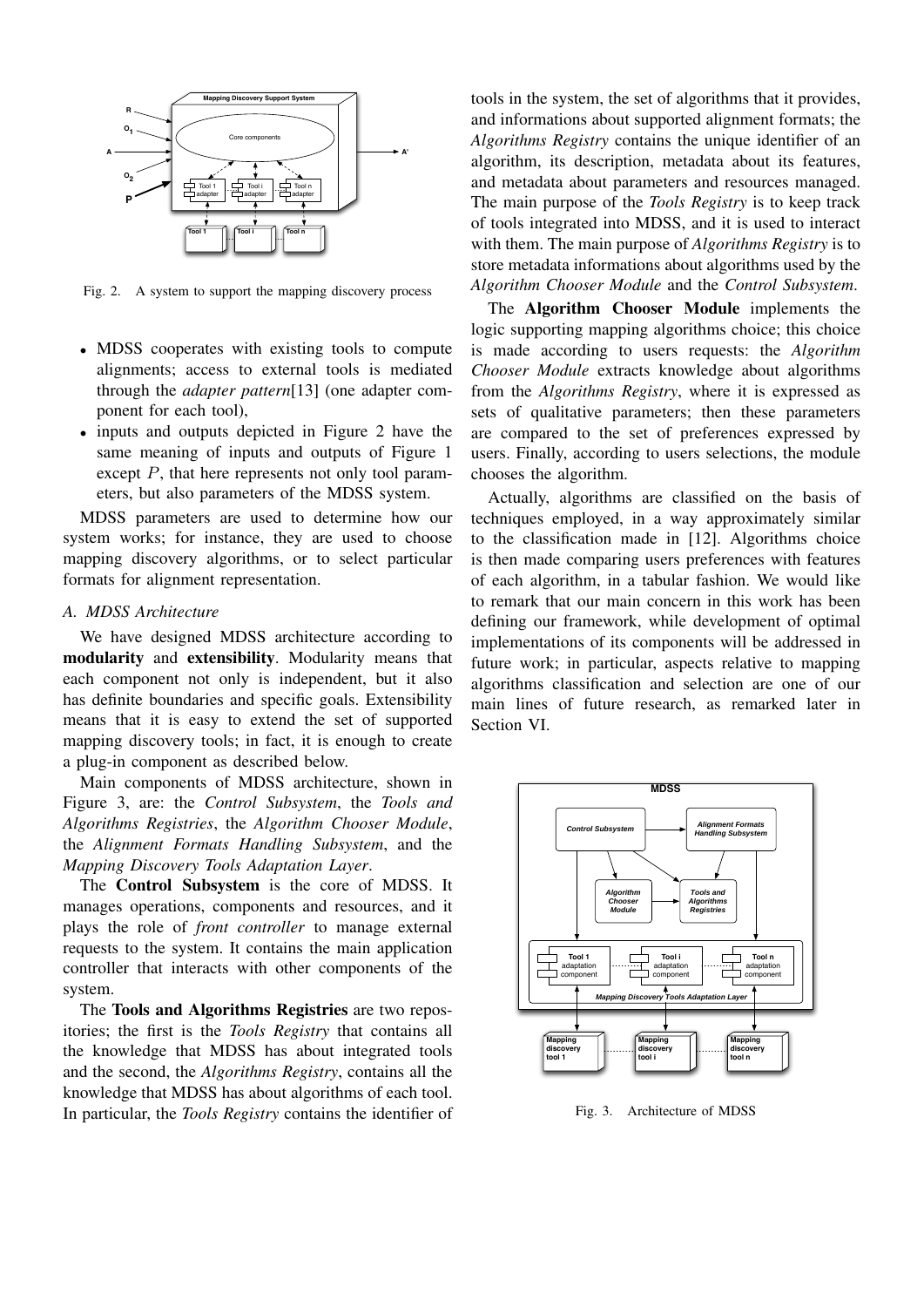

Fig. 2. A system to support the mapping discovery process

- MDSS cooperates with existing tools to compute alignments; access to external tools is mediated through the *adapter pattern*[13] (one adapter component for each tool),
- inputs and outputs depicted in Figure 2 have the same meaning of inputs and outputs of Figure 1 except P, that here represents not only tool parameters, but also parameters of the MDSS system.

MDSS parameters are used to determine how our system works; for instance, they are used to choose mapping discovery algorithms, or to select particular formats for alignment representation.

## *A. MDSS Architecture*

We have designed MDSS architecture according to modularity and extensibility. Modularity means that each component not only is independent, but it also has definite boundaries and specific goals. Extensibility means that it is easy to extend the set of supported mapping discovery tools; in fact, it is enough to create a plug-in component as described below.

Main components of MDSS architecture, shown in Figure 3, are: the *Control Subsystem*, the *Tools and Algorithms Registries*, the *Algorithm Chooser Module*, the *Alignment Formats Handling Subsystem*, and the *Mapping Discovery Tools Adaptation Layer*.

The Control Subsystem is the core of MDSS. It manages operations, components and resources, and it plays the role of *front controller* to manage external requests to the system. It contains the main application controller that interacts with other components of the system.

The Tools and Algorithms Registries are two repositories; the first is the *Tools Registry* that contains all the knowledge that MDSS has about integrated tools and the second, the *Algorithms Registry*, contains all the knowledge that MDSS has about algorithms of each tool. In particular, the *Tools Registry* contains the identifier of

tools in the system, the set of algorithms that it provides, and informations about supported alignment formats; the *Algorithms Registry* contains the unique identifier of an algorithm, its description, metadata about its features, and metadata about parameters and resources managed. The main purpose of the *Tools Registry* is to keep track of tools integrated into MDSS, and it is used to interact with them. The main purpose of *Algorithms Registry* is to store metadata informations about algorithms used by the *Algorithm Chooser Module* and the *Control Subsystem*.

The Algorithm Chooser Module implements the logic supporting mapping algorithms choice; this choice is made according to users requests: the *Algorithm Chooser Module* extracts knowledge about algorithms from the *Algorithms Registry*, where it is expressed as sets of qualitative parameters; then these parameters are compared to the set of preferences expressed by users. Finally, according to users selections, the module chooses the algorithm.

Actually, algorithms are classified on the basis of techniques employed, in a way approximately similar to the classification made in [12]. Algorithms choice is then made comparing users preferences with features of each algorithm, in a tabular fashion. We would like to remark that our main concern in this work has been defining our framework, while development of optimal implementations of its components will be addressed in future work; in particular, aspects relative to mapping algorithms classification and selection are one of our main lines of future research, as remarked later in Section VI.



Fig. 3. Architecture of MDSS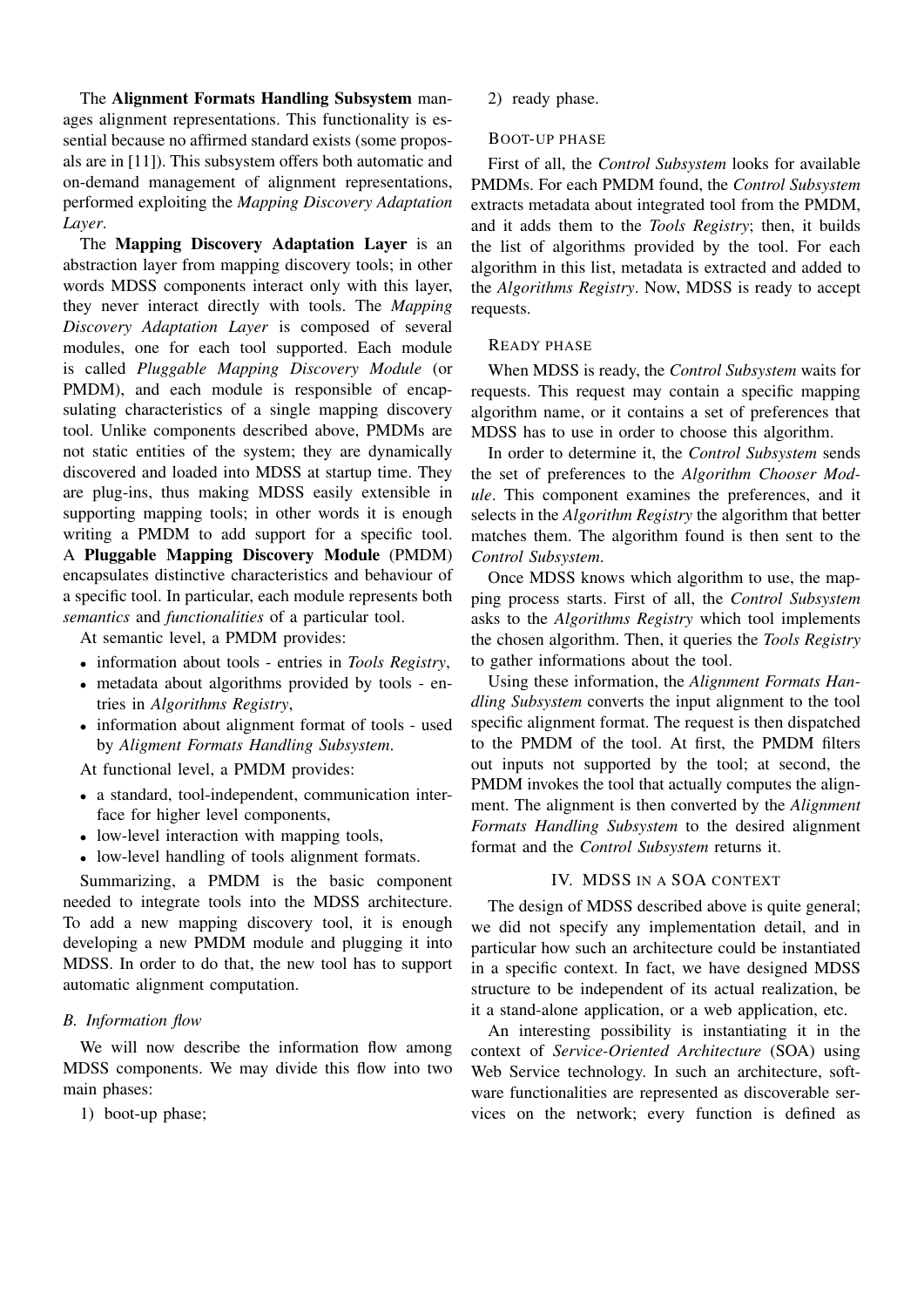The Alignment Formats Handling Subsystem manages alignment representations. This functionality is essential because no affirmed standard exists (some proposals are in [11]). This subsystem offers both automatic and on-demand management of alignment representations, performed exploiting the *Mapping Discovery Adaptation Layer*.

The Mapping Discovery Adaptation Layer is an abstraction layer from mapping discovery tools; in other words MDSS components interact only with this layer, they never interact directly with tools. The *Mapping Discovery Adaptation Layer* is composed of several modules, one for each tool supported. Each module is called *Pluggable Mapping Discovery Module* (or PMDM), and each module is responsible of encapsulating characteristics of a single mapping discovery tool. Unlike components described above, PMDMs are not static entities of the system; they are dynamically discovered and loaded into MDSS at startup time. They are plug-ins, thus making MDSS easily extensible in supporting mapping tools; in other words it is enough writing a PMDM to add support for a specific tool. A Pluggable Mapping Discovery Module (PMDM) encapsulates distinctive characteristics and behaviour of a specific tool. In particular, each module represents both *semantics* and *functionalities* of a particular tool.

At semantic level, a PMDM provides:

- information about tools entries in *Tools Registry*,
- metadata about algorithms provided by tools entries in *Algorithms Registry*,
- information about alignment format of tools used by *Aligment Formats Handling Subsystem*.

At functional level, a PMDM provides:

- a standard, tool-independent, communication interface for higher level components,
- low-level interaction with mapping tools,
- low-level handling of tools alignment formats.

Summarizing, a PMDM is the basic component needed to integrate tools into the MDSS architecture. To add a new mapping discovery tool, it is enough developing a new PMDM module and plugging it into MDSS. In order to do that, the new tool has to support automatic alignment computation.

# *B. Information flow*

We will now describe the information flow among MDSS components. We may divide this flow into two main phases:

1) boot-up phase;

2) ready phase.

#### BOOT-UP PHASE

First of all, the *Control Subsystem* looks for available PMDMs. For each PMDM found, the *Control Subsystem* extracts metadata about integrated tool from the PMDM, and it adds them to the *Tools Registry*; then, it builds the list of algorithms provided by the tool. For each algorithm in this list, metadata is extracted and added to the *Algorithms Registry*. Now, MDSS is ready to accept requests.

#### READY PHASE

When MDSS is ready, the *Control Subsystem* waits for requests. This request may contain a specific mapping algorithm name, or it contains a set of preferences that MDSS has to use in order to choose this algorithm.

In order to determine it, the *Control Subsystem* sends the set of preferences to the *Algorithm Chooser Module*. This component examines the preferences, and it selects in the *Algorithm Registry* the algorithm that better matches them. The algorithm found is then sent to the *Control Subsystem*.

Once MDSS knows which algorithm to use, the mapping process starts. First of all, the *Control Subsystem* asks to the *Algorithms Registry* which tool implements the chosen algorithm. Then, it queries the *Tools Registry* to gather informations about the tool.

Using these information, the *Alignment Formats Handling Subsystem* converts the input alignment to the tool specific alignment format. The request is then dispatched to the PMDM of the tool. At first, the PMDM filters out inputs not supported by the tool; at second, the PMDM invokes the tool that actually computes the alignment. The alignment is then converted by the *Alignment Formats Handling Subsystem* to the desired alignment format and the *Control Subsystem* returns it.

## IV. MDSS IN A SOA CONTEXT

The design of MDSS described above is quite general; we did not specify any implementation detail, and in particular how such an architecture could be instantiated in a specific context. In fact, we have designed MDSS structure to be independent of its actual realization, be it a stand-alone application, or a web application, etc.

An interesting possibility is instantiating it in the context of *Service-Oriented Architecture* (SOA) using Web Service technology. In such an architecture, software functionalities are represented as discoverable services on the network; every function is defined as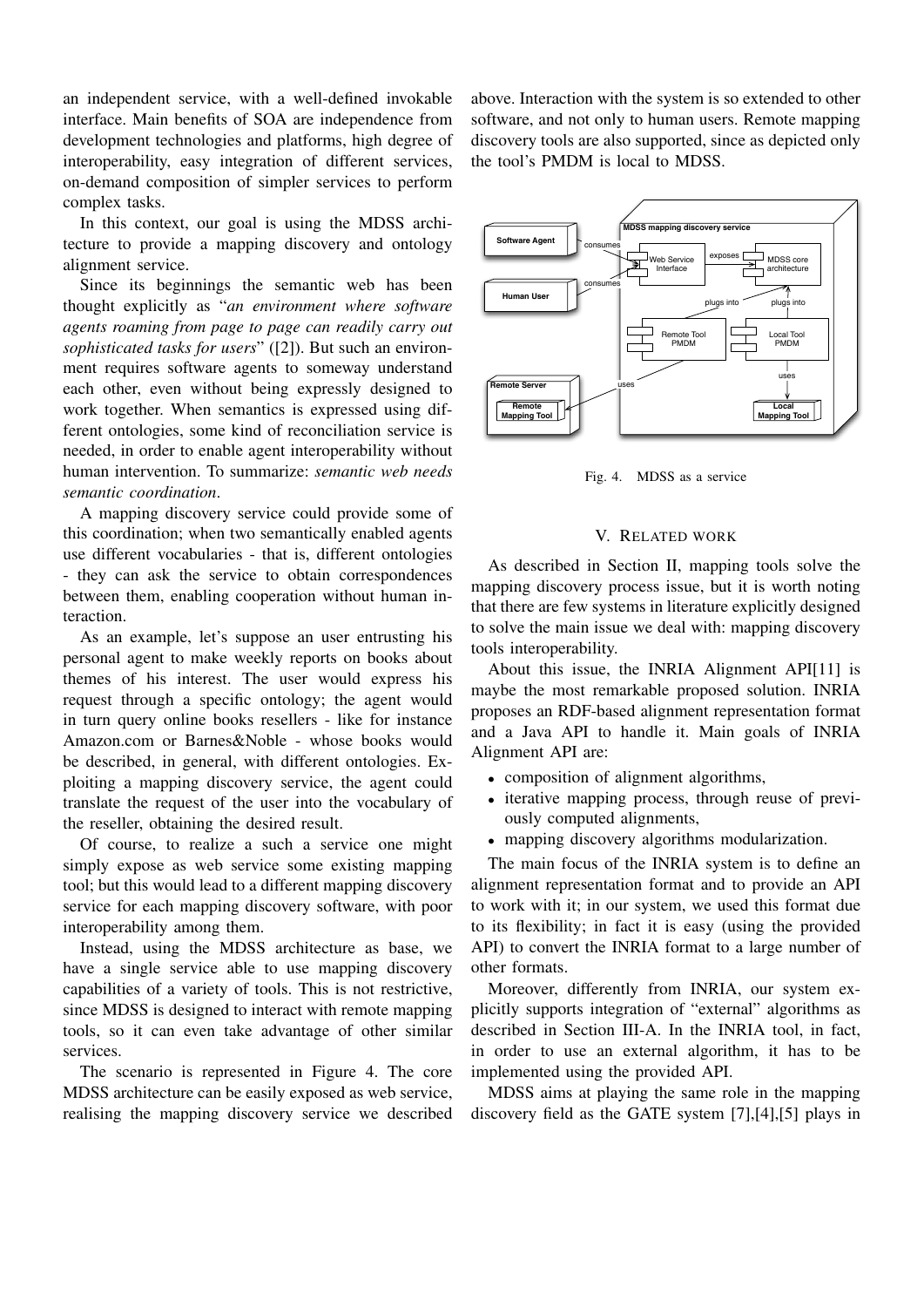an independent service, with a well-defined invokable interface. Main benefits of SOA are independence from development technologies and platforms, high degree of interoperability, easy integration of different services, on-demand composition of simpler services to perform complex tasks.

In this context, our goal is using the MDSS architecture to provide a mapping discovery and ontology alignment service.

Since its beginnings the semantic web has been thought explicitly as "*an environment where software agents roaming from page to page can readily carry out sophisticated tasks for users*" ([2]). But such an environment requires software agents to someway understand each other, even without being expressly designed to work together. When semantics is expressed using different ontologies, some kind of reconciliation service is needed, in order to enable agent interoperability without human intervention. To summarize: *semantic web needs semantic coordination*.

A mapping discovery service could provide some of this coordination; when two semantically enabled agents use different vocabularies - that is, different ontologies - they can ask the service to obtain correspondences between them, enabling cooperation without human interaction.

As an example, let's suppose an user entrusting his personal agent to make weekly reports on books about themes of his interest. The user would express his request through a specific ontology; the agent would in turn query online books resellers - like for instance Amazon.com or Barnes&Noble - whose books would be described, in general, with different ontologies. Exploiting a mapping discovery service, the agent could translate the request of the user into the vocabulary of the reseller, obtaining the desired result.

Of course, to realize a such a service one might simply expose as web service some existing mapping tool; but this would lead to a different mapping discovery service for each mapping discovery software, with poor interoperability among them.

Instead, using the MDSS architecture as base, we have a single service able to use mapping discovery capabilities of a variety of tools. This is not restrictive, since MDSS is designed to interact with remote mapping tools, so it can even take advantage of other similar services.

The scenario is represented in Figure 4. The core MDSS architecture can be easily exposed as web service, realising the mapping discovery service we described above. Interaction with the system is so extended to other software, and not only to human users. Remote mapping discovery tools are also supported, since as depicted only the tool's PMDM is local to MDSS.



Fig. 4. MDSS as a service

# V. RELATED WORK

As described in Section II, mapping tools solve the mapping discovery process issue, but it is worth noting that there are few systems in literature explicitly designed to solve the main issue we deal with: mapping discovery tools interoperability.

About this issue, the INRIA Alignment API[11] is maybe the most remarkable proposed solution. INRIA proposes an RDF-based alignment representation format and a Java API to handle it. Main goals of INRIA Alignment API are:

- composition of alignment algorithms,
- iterative mapping process, through reuse of previously computed alignments,
- mapping discovery algorithms modularization.

The main focus of the INRIA system is to define an alignment representation format and to provide an API to work with it; in our system, we used this format due to its flexibility; in fact it is easy (using the provided API) to convert the INRIA format to a large number of other formats.

Moreover, differently from INRIA, our system explicitly supports integration of "external" algorithms as described in Section III-A. In the INRIA tool, in fact, in order to use an external algorithm, it has to be implemented using the provided API.

MDSS aims at playing the same role in the mapping discovery field as the GATE system [7],[4],[5] plays in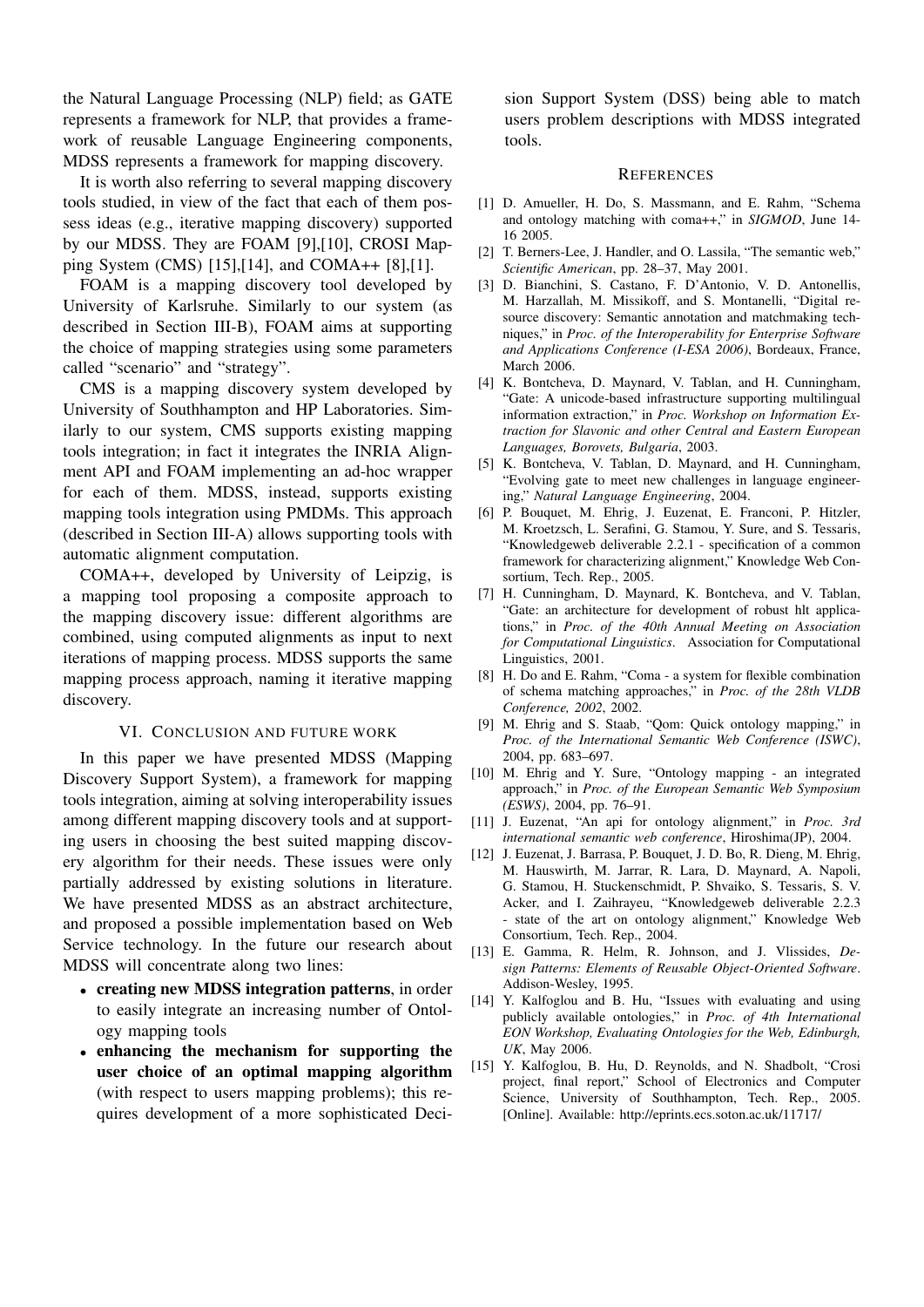the Natural Language Processing (NLP) field; as GATE represents a framework for NLP, that provides a framework of reusable Language Engineering components, MDSS represents a framework for mapping discovery.

It is worth also referring to several mapping discovery tools studied, in view of the fact that each of them possess ideas (e.g., iterative mapping discovery) supported by our MDSS. They are FOAM [9],[10], CROSI Mapping System (CMS) [15],[14], and COMA++ [8],[1].

FOAM is a mapping discovery tool developed by University of Karlsruhe. Similarly to our system (as described in Section III-B), FOAM aims at supporting the choice of mapping strategies using some parameters called "scenario" and "strategy".

CMS is a mapping discovery system developed by University of Southhampton and HP Laboratories. Similarly to our system, CMS supports existing mapping tools integration; in fact it integrates the INRIA Alignment API and FOAM implementing an ad-hoc wrapper for each of them. MDSS, instead, supports existing mapping tools integration using PMDMs. This approach (described in Section III-A) allows supporting tools with automatic alignment computation.

COMA++, developed by University of Leipzig, is a mapping tool proposing a composite approach to the mapping discovery issue: different algorithms are combined, using computed alignments as input to next iterations of mapping process. MDSS supports the same mapping process approach, naming it iterative mapping discovery.

# VI. CONCLUSION AND FUTURE WORK

In this paper we have presented MDSS (Mapping Discovery Support System), a framework for mapping tools integration, aiming at solving interoperability issues among different mapping discovery tools and at supporting users in choosing the best suited mapping discovery algorithm for their needs. These issues were only partially addressed by existing solutions in literature. We have presented MDSS as an abstract architecture, and proposed a possible implementation based on Web Service technology. In the future our research about MDSS will concentrate along two lines:

- creating new MDSS integration patterns, in order to easily integrate an increasing number of Ontology mapping tools
- enhancing the mechanism for supporting the user choice of an optimal mapping algorithm (with respect to users mapping problems); this requires development of a more sophisticated Deci-

sion Support System (DSS) being able to match users problem descriptions with MDSS integrated tools.

#### **REFERENCES**

- [1] D. Amueller, H. Do, S. Massmann, and E. Rahm, "Schema and ontology matching with coma++," in *SIGMOD*, June 14-16 2005.
- [2] T. Berners-Lee, J. Handler, and O. Lassila, "The semantic web," *Scientific American*, pp. 28–37, May 2001.
- [3] D. Bianchini, S. Castano, F. D'Antonio, V. D. Antonellis, M. Harzallah, M. Missikoff, and S. Montanelli, "Digital resource discovery: Semantic annotation and matchmaking techniques," in *Proc. of the Interoperability for Enterprise Software and Applications Conference (I-ESA 2006)*, Bordeaux, France, March 2006.
- [4] K. Bontcheva, D. Maynard, V. Tablan, and H. Cunningham, "Gate: A unicode-based infrastructure supporting multilingual information extraction," in *Proc. Workshop on Information Extraction for Slavonic and other Central and Eastern European Languages, Borovets, Bulgaria*, 2003.
- [5] K. Bontcheva, V. Tablan, D. Maynard, and H. Cunningham, "Evolving gate to meet new challenges in language engineering," *Natural Language Engineering*, 2004.
- [6] P. Bouquet, M. Ehrig, J. Euzenat, E. Franconi, P. Hitzler, M. Kroetzsch, L. Serafini, G. Stamou, Y. Sure, and S. Tessaris, "Knowledgeweb deliverable 2.2.1 - specification of a common framework for characterizing alignment," Knowledge Web Consortium, Tech. Rep., 2005.
- [7] H. Cunningham, D. Maynard, K. Bontcheva, and V. Tablan, "Gate: an architecture for development of robust hlt applications," in *Proc. of the 40th Annual Meeting on Association for Computational Linguistics*. Association for Computational Linguistics, 2001.
- [8] H. Do and E. Rahm, "Coma a system for flexible combination of schema matching approaches," in *Proc. of the 28th VLDB Conference, 2002*, 2002.
- [9] M. Ehrig and S. Staab, "Qom: Quick ontology mapping," in *Proc. of the International Semantic Web Conference (ISWC)*, 2004, pp. 683–697.
- [10] M. Ehrig and Y. Sure, "Ontology mapping an integrated approach," in *Proc. of the European Semantic Web Symposium (ESWS)*, 2004, pp. 76–91.
- [11] J. Euzenat, "An api for ontology alignment," in *Proc. 3rd international semantic web conference*, Hiroshima(JP), 2004.
- [12] J. Euzenat, J. Barrasa, P. Bouquet, J. D. Bo, R. Dieng, M. Ehrig, M. Hauswirth, M. Jarrar, R. Lara, D. Maynard, A. Napoli, G. Stamou, H. Stuckenschmidt, P. Shvaiko, S. Tessaris, S. V. Acker, and I. Zaihrayeu, "Knowledgeweb deliverable 2.2.3 - state of the art on ontology alignment," Knowledge Web Consortium, Tech. Rep., 2004.
- [13] E. Gamma, R. Helm, R. Johnson, and J. Vlissides, *Design Patterns: Elements of Reusable Object-Oriented Software*. Addison-Wesley, 1995.
- [14] Y. Kalfoglou and B. Hu, "Issues with evaluating and using publicly available ontologies," in *Proc. of 4th International EON Workshop, Evaluating Ontologies for the Web, Edinburgh, UK*, May 2006.
- [15] Y. Kalfoglou, B. Hu, D. Reynolds, and N. Shadbolt, "Crosi project, final report," School of Electronics and Computer Science, University of Southhampton, Tech. Rep., 2005. [Online]. Available: http://eprints.ecs.soton.ac.uk/11717/